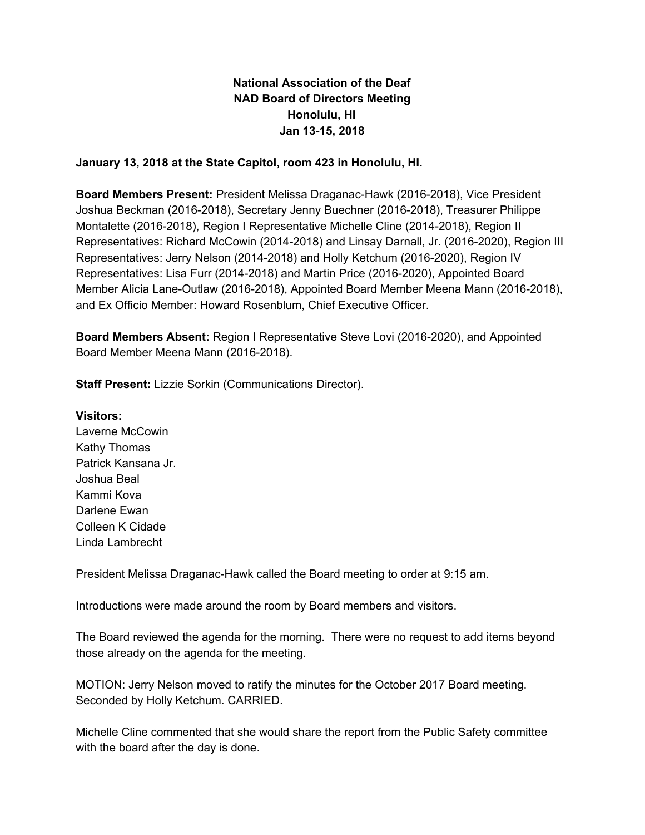# **National Association of the Deaf NAD Board of Directors Meeting Honolulu, HI Jan 13-15, 2018**

### **January 13, 2018 at the State Capitol, room 423 in Honolulu, HI.**

**Board Members Present:** President Melissa Draganac-Hawk (2016-2018), Vice President Joshua Beckman (2016-2018), Secretary Jenny Buechner (2016-2018), Treasurer Philippe Montalette (2016-2018), Region I Representative Michelle Cline (2014-2018), Region II Representatives: Richard McCowin (2014-2018) and Linsay Darnall, Jr. (2016-2020), Region III Representatives: Jerry Nelson (2014-2018) and Holly Ketchum (2016-2020), Region IV Representatives: Lisa Furr (2014-2018) and Martin Price (2016-2020), Appointed Board Member Alicia Lane-Outlaw (2016-2018), Appointed Board Member Meena Mann (2016-2018), and Ex Officio Member: Howard Rosenblum, Chief Executive Officer.

**Board Members Absent:** Region I Representative Steve Lovi (2016-2020), and Appointed Board Member Meena Mann (2016-2018).

**Staff Present:** Lizzie Sorkin (Communications Director).

#### **Visitors:**

Laverne McCowin Kathy Thomas Patrick Kansana Jr. Joshua Beal Kammi Kova Darlene Ewan Colleen K Cidade Linda Lambrecht

President Melissa Draganac-Hawk called the Board meeting to order at 9:15 am.

Introductions were made around the room by Board members and visitors.

The Board reviewed the agenda for the morning. There were no request to add items beyond those already on the agenda for the meeting.

MOTION: Jerry Nelson moved to ratify the minutes for the October 2017 Board meeting. Seconded by Holly Ketchum. CARRIED.

Michelle Cline commented that she would share the report from the Public Safety committee with the board after the day is done.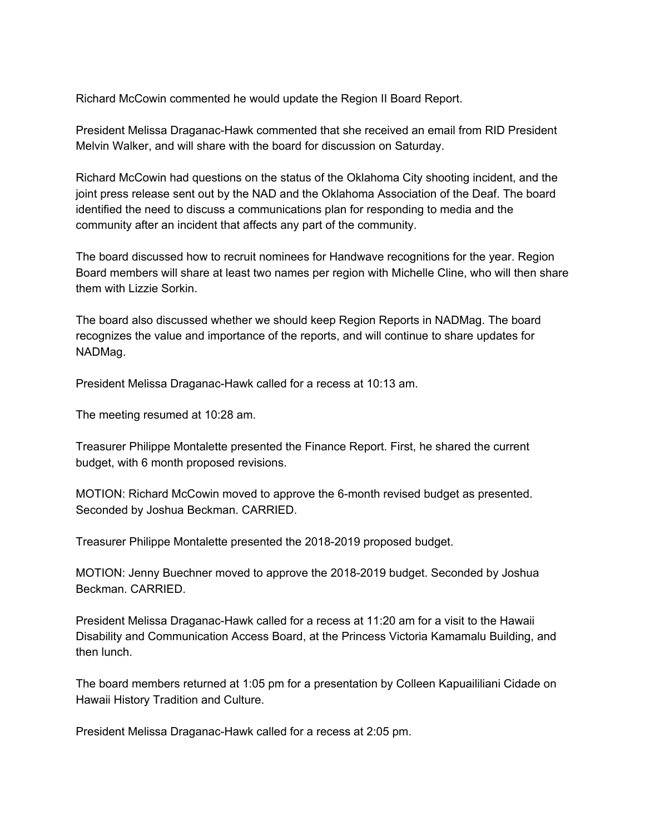Richard McCowin commented he would update the Region II Board Report.

President Melissa Draganac-Hawk commented that she received an email from RID President Melvin Walker, and will share with the board for discussion on Saturday.

Richard McCowin had questions on the status of the Oklahoma City shooting incident, and the joint press release sent out by the NAD and the Oklahoma Association of the Deaf. The board identified the need to discuss a communications plan for responding to media and the community after an incident that affects any part of the community.

The board discussed how to recruit nominees for Handwave recognitions for the year. Region Board members will share at least two names per region with Michelle Cline, who will then share them with Lizzie Sorkin.

The board also discussed whether we should keep Region Reports in NADMag. The board recognizes the value and importance of the reports, and will continue to share updates for NADMag.

President Melissa Draganac-Hawk called for a recess at 10:13 am.

The meeting resumed at 10:28 am.

Treasurer Philippe Montalette presented the Finance Report. First, he shared the current budget, with 6 month proposed revisions.

MOTION: Richard McCowin moved to approve the 6-month revised budget as presented. Seconded by Joshua Beckman. CARRIED.

Treasurer Philippe Montalette presented the 2018-2019 proposed budget.

MOTION: Jenny Buechner moved to approve the 2018-2019 budget. Seconded by Joshua Beckman. CARRIED.

President Melissa Draganac-Hawk called for a recess at 11:20 am for a visit to the Hawaii Disability and Communication Access Board, at the Princess Victoria Kamamalu Building, and then lunch.

The board members returned at 1:05 pm for a presentation by Colleen Kapuaililiani Cidade on Hawaii History Tradition and Culture.

President Melissa Draganac-Hawk called for a recess at 2:05 pm.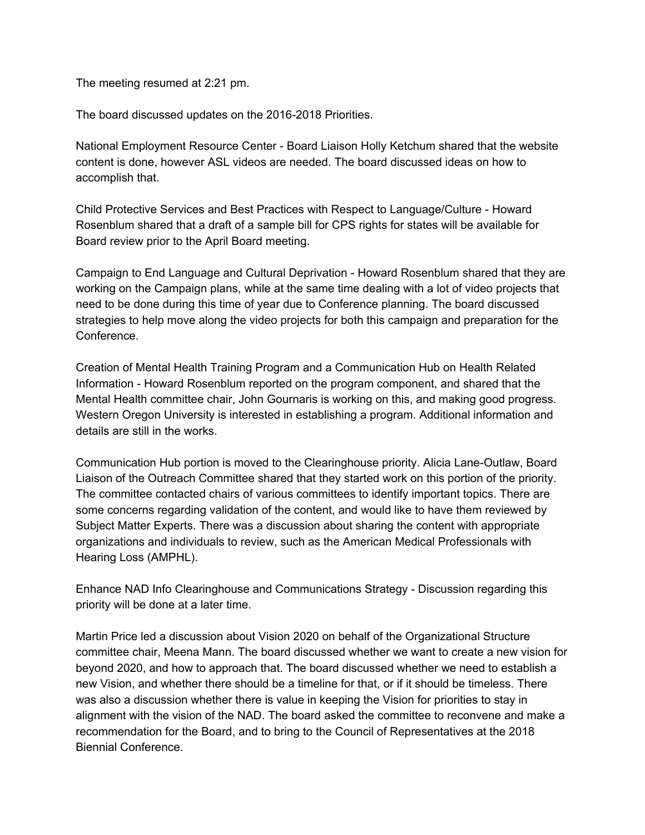The meeting resumed at 2:21 pm.

The board discussed updates on the 2016-2018 Priorities.

National Employment Resource Center - Board Liaison Holly Ketchum shared that the website content is done, however ASL videos are needed. The board discussed ideas on how to accomplish that.

Child Protective Services and Best Practices with Respect to Language/Culture - Howard Rosenblum shared that a draft of a sample bill for CPS rights for states will be available for Board review prior to the April Board meeting.

Campaign to End Language and Cultural Deprivation - Howard Rosenblum shared that they are working on the Campaign plans, while at the same time dealing with a lot of video projects that need to be done during this time of year due to Conference planning. The board discussed strategies to help move along the video projects for both this campaign and preparation for the Conference.

Creation of Mental Health Training Program and a Communication Hub on Health Related Information - Howard Rosenblum reported on the program component, and shared that the Mental Health committee chair, John Gournaris is working on this, and making good progress. Western Oregon University is interested in establishing a program. Additional information and details are still in the works.

Communication Hub portion is moved to the Clearinghouse priority. Alicia Lane-Outlaw, Board Liaison of the Outreach Committee shared that they started work on this portion of the priority. The committee contacted chairs of various committees to identify important topics. There are some concerns regarding validation of the content, and would like to have them reviewed by Subject Matter Experts. There was a discussion about sharing the content with appropriate organizations and individuals to review, such as the American Medical Professionals with Hearing Loss (AMPHL).

Enhance NAD Info Clearinghouse and Communications Strategy - Discussion regarding this priority will be done at a later time.

Martin Price led a discussion about Vision 2020 on behalf of the Organizational Structure committee chair, Meena Mann. The board discussed whether we want to create a new vision for beyond 2020, and how to approach that. The board discussed whether we need to establish a new Vision, and whether there should be a timeline for that, or if it should be timeless. There was also a discussion whether there is value in keeping the Vision for priorities to stay in alignment with the vision of the NAD. The board asked the committee to reconvene and make a recommendation for the Board, and to bring to the Council of Representatives at the 2018 Biennial Conference.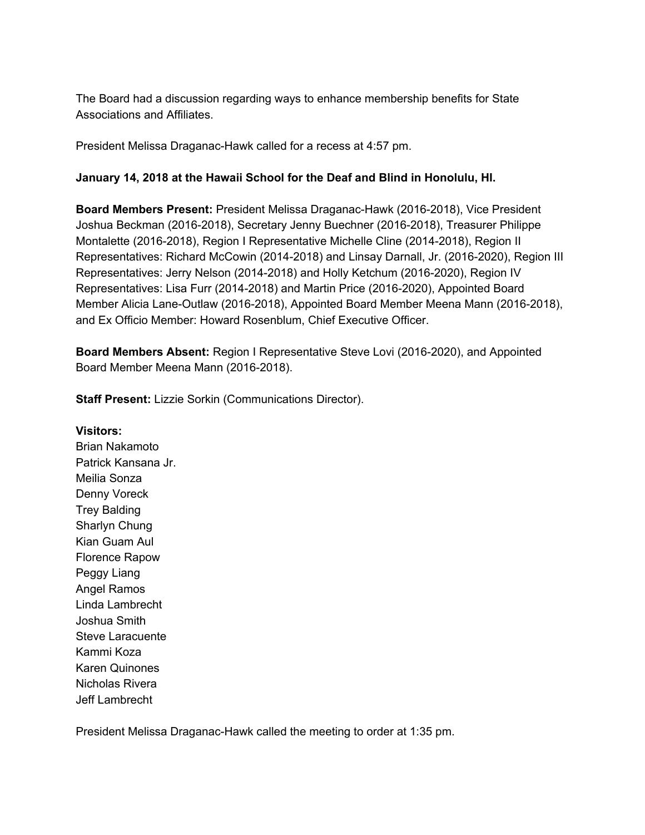The Board had a discussion regarding ways to enhance membership benefits for State Associations and Affiliates.

President Melissa Draganac-Hawk called for a recess at 4:57 pm.

### **January 14, 2018 at the Hawaii School for the Deaf and Blind in Honolulu, HI.**

**Board Members Present:** President Melissa Draganac-Hawk (2016-2018), Vice President Joshua Beckman (2016-2018), Secretary Jenny Buechner (2016-2018), Treasurer Philippe Montalette (2016-2018), Region I Representative Michelle Cline (2014-2018), Region II Representatives: Richard McCowin (2014-2018) and Linsay Darnall, Jr. (2016-2020), Region III Representatives: Jerry Nelson (2014-2018) and Holly Ketchum (2016-2020), Region IV Representatives: Lisa Furr (2014-2018) and Martin Price (2016-2020), Appointed Board Member Alicia Lane-Outlaw (2016-2018), Appointed Board Member Meena Mann (2016-2018), and Ex Officio Member: Howard Rosenblum, Chief Executive Officer.

**Board Members Absent:** Region I Representative Steve Lovi (2016-2020), and Appointed Board Member Meena Mann (2016-2018).

**Staff Present:** Lizzie Sorkin (Communications Director).

#### **Visitors:**

Brian Nakamoto Patrick Kansana Jr. Meilia Sonza Denny Voreck Trey Balding Sharlyn Chung Kian Guam Aul Florence Rapow Peggy Liang Angel Ramos Linda Lambrecht Joshua Smith Steve Laracuente Kammi Koza Karen Quinones Nicholas Rivera Jeff Lambrecht

President Melissa Draganac-Hawk called the meeting to order at 1:35 pm.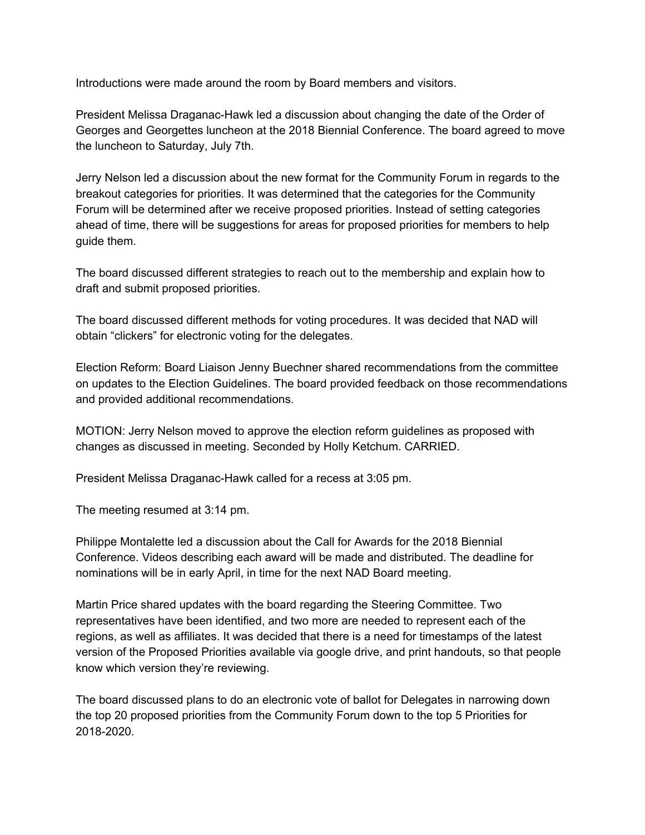Introductions were made around the room by Board members and visitors.

President Melissa Draganac-Hawk led a discussion about changing the date of the Order of Georges and Georgettes luncheon at the 2018 Biennial Conference. The board agreed to move the luncheon to Saturday, July 7th.

Jerry Nelson led a discussion about the new format for the Community Forum in regards to the breakout categories for priorities. It was determined that the categories for the Community Forum will be determined after we receive proposed priorities. Instead of setting categories ahead of time, there will be suggestions for areas for proposed priorities for members to help guide them.

The board discussed different strategies to reach out to the membership and explain how to draft and submit proposed priorities.

The board discussed different methods for voting procedures. It was decided that NAD will obtain "clickers" for electronic voting for the delegates.

Election Reform: Board Liaison Jenny Buechner shared recommendations from the committee on updates to the Election Guidelines. The board provided feedback on those recommendations and provided additional recommendations.

MOTION: Jerry Nelson moved to approve the election reform guidelines as proposed with changes as discussed in meeting. Seconded by Holly Ketchum. CARRIED.

President Melissa Draganac-Hawk called for a recess at 3:05 pm.

The meeting resumed at 3:14 pm.

Philippe Montalette led a discussion about the Call for Awards for the 2018 Biennial Conference. Videos describing each award will be made and distributed. The deadline for nominations will be in early April, in time for the next NAD Board meeting.

Martin Price shared updates with the board regarding the Steering Committee. Two representatives have been identified, and two more are needed to represent each of the regions, as well as affiliates. It was decided that there is a need for timestamps of the latest version of the Proposed Priorities available via google drive, and print handouts, so that people know which version they're reviewing.

The board discussed plans to do an electronic vote of ballot for Delegates in narrowing down the top 20 proposed priorities from the Community Forum down to the top 5 Priorities for 2018-2020.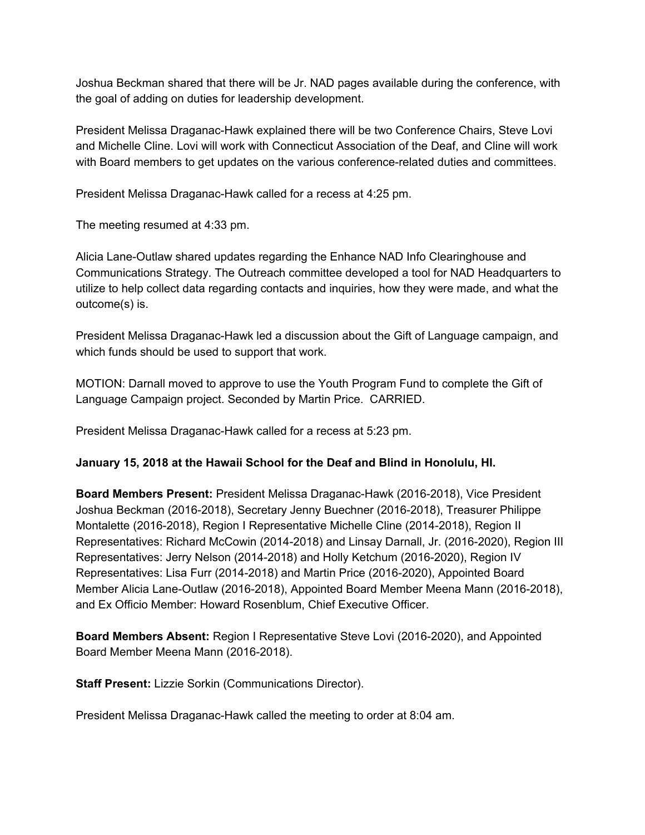Joshua Beckman shared that there will be Jr. NAD pages available during the conference, with the goal of adding on duties for leadership development.

President Melissa Draganac-Hawk explained there will be two Conference Chairs, Steve Lovi and Michelle Cline. Lovi will work with Connecticut Association of the Deaf, and Cline will work with Board members to get updates on the various conference-related duties and committees.

President Melissa Draganac-Hawk called for a recess at 4:25 pm.

The meeting resumed at 4:33 pm.

Alicia Lane-Outlaw shared updates regarding the Enhance NAD Info Clearinghouse and Communications Strategy. The Outreach committee developed a tool for NAD Headquarters to utilize to help collect data regarding contacts and inquiries, how they were made, and what the outcome(s) is.

President Melissa Draganac-Hawk led a discussion about the Gift of Language campaign, and which funds should be used to support that work.

MOTION: Darnall moved to approve to use the Youth Program Fund to complete the Gift of Language Campaign project. Seconded by Martin Price. CARRIED.

President Melissa Draganac-Hawk called for a recess at 5:23 pm.

## **January 15, 2018 at the Hawaii School for the Deaf and Blind in Honolulu, HI.**

**Board Members Present:** President Melissa Draganac-Hawk (2016-2018), Vice President Joshua Beckman (2016-2018), Secretary Jenny Buechner (2016-2018), Treasurer Philippe Montalette (2016-2018), Region I Representative Michelle Cline (2014-2018), Region II Representatives: Richard McCowin (2014-2018) and Linsay Darnall, Jr. (2016-2020), Region III Representatives: Jerry Nelson (2014-2018) and Holly Ketchum (2016-2020), Region IV Representatives: Lisa Furr (2014-2018) and Martin Price (2016-2020), Appointed Board Member Alicia Lane-Outlaw (2016-2018), Appointed Board Member Meena Mann (2016-2018), and Ex Officio Member: Howard Rosenblum, Chief Executive Officer.

**Board Members Absent:** Region I Representative Steve Lovi (2016-2020), and Appointed Board Member Meena Mann (2016-2018).

**Staff Present:** Lizzie Sorkin (Communications Director).

President Melissa Draganac-Hawk called the meeting to order at 8:04 am.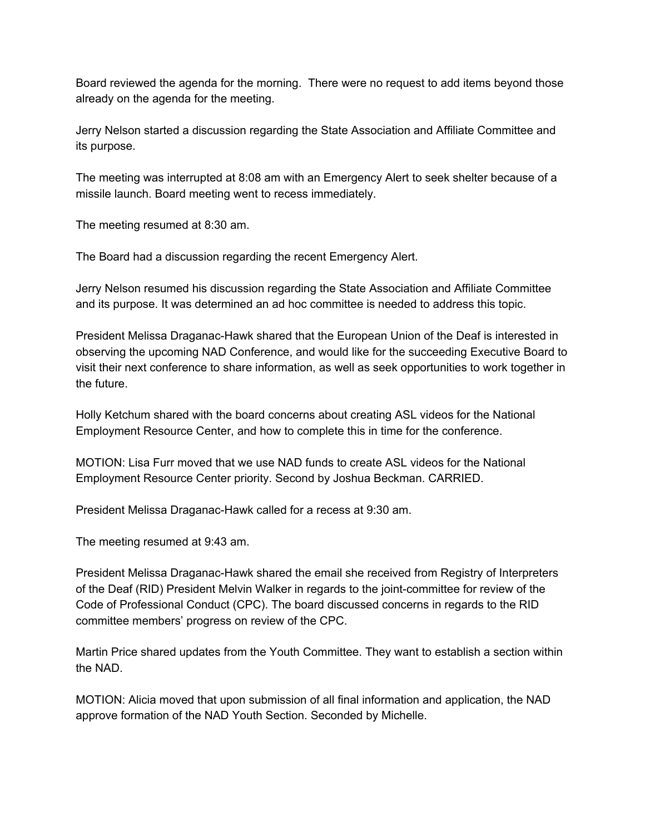Board reviewed the agenda for the morning. There were no request to add items beyond those already on the agenda for the meeting.

Jerry Nelson started a discussion regarding the State Association and Affiliate Committee and its purpose.

The meeting was interrupted at 8:08 am with an Emergency Alert to seek shelter because of a missile launch. Board meeting went to recess immediately.

The meeting resumed at 8:30 am.

The Board had a discussion regarding the recent Emergency Alert.

Jerry Nelson resumed his discussion regarding the State Association and Affiliate Committee and its purpose. It was determined an ad hoc committee is needed to address this topic.

President Melissa Draganac-Hawk shared that the European Union of the Deaf is interested in observing the upcoming NAD Conference, and would like for the succeeding Executive Board to visit their next conference to share information, as well as seek opportunities to work together in the future.

Holly Ketchum shared with the board concerns about creating ASL videos for the National Employment Resource Center, and how to complete this in time for the conference.

MOTION: Lisa Furr moved that we use NAD funds to create ASL videos for the National Employment Resource Center priority. Second by Joshua Beckman. CARRIED.

President Melissa Draganac-Hawk called for a recess at 9:30 am.

The meeting resumed at 9:43 am.

President Melissa Draganac-Hawk shared the email she received from Registry of Interpreters of the Deaf (RID) President Melvin Walker in regards to the joint-committee for review of the Code of Professional Conduct (CPC). The board discussed concerns in regards to the RID committee members' progress on review of the CPC.

Martin Price shared updates from the Youth Committee. They want to establish a section within the NAD.

MOTION: Alicia moved that upon submission of all final information and application, the NAD approve formation of the NAD Youth Section. Seconded by Michelle.